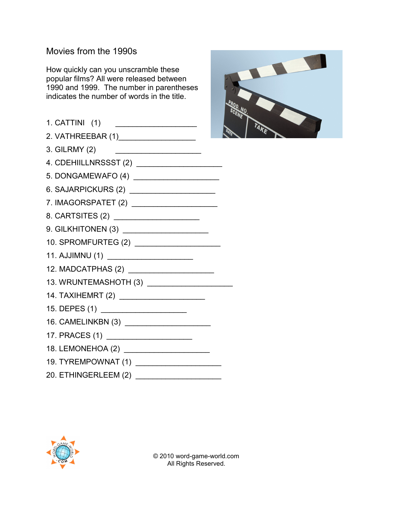## Movies from the 1990s

How quickly can you unscramble these popular films? All were released between 1990 and 1999. The number in parentheses indicates the number of words in the title.







© 2010 word-game-world.com All Rights Reserved.